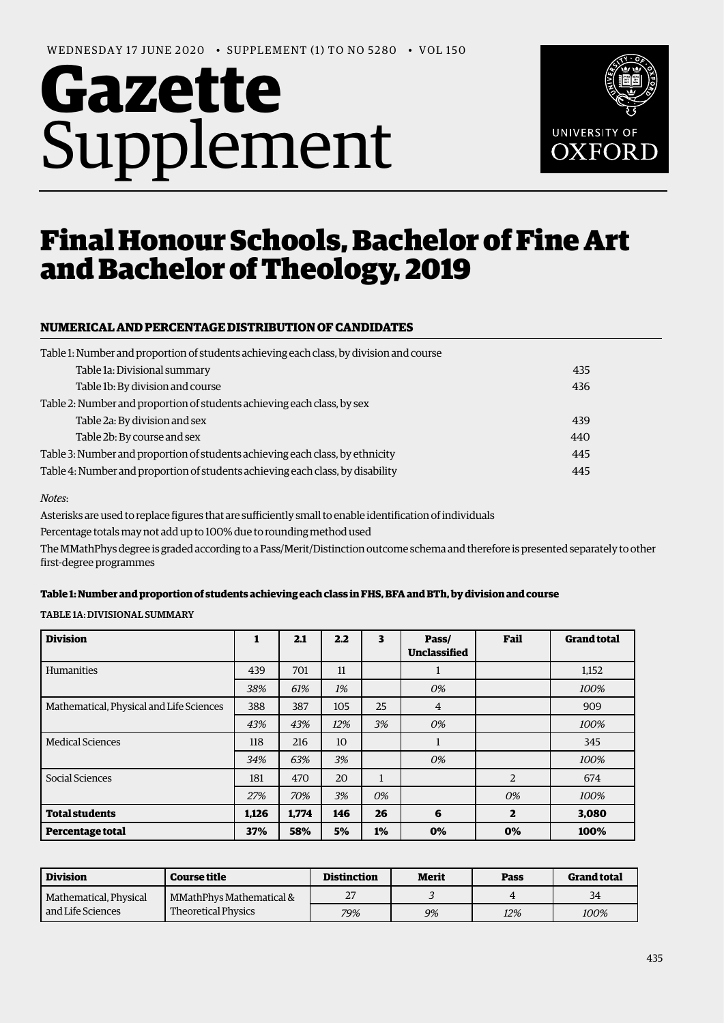# **Gazette**  Supplement



# Final Honour Schools, Bachelor of Fine Art and Bachelor of Theology, 2019

# **NUMERICAL AND PERCENTAGE DISTRIBUTION OF CANDIDATES**

| Table 1: Number and proportion of students achieving each class, by division and course |     |
|-----------------------------------------------------------------------------------------|-----|
| Table 1a: Divisional summary                                                            | 435 |
| Table 1b: By division and course                                                        | 436 |
| Table 2: Number and proportion of students achieving each class, by sex                 |     |
| Table 2a: By division and sex                                                           | 439 |
| Table 2b: By course and sex                                                             | 440 |
| Table 3: Number and proportion of students achieving each class, by ethnicity           | 445 |
| Table 4: Number and proportion of students achieving each class, by disability          | 445 |

#### *Notes*:

Asterisks are used to replace figures that are sufficiently small to enable identification of individuals

Percentage totals may not add up to 100% due to rounding method used

The MMathPhys degree is graded according to a Pass/Merit/Distinction outcome schema and therefore is presented separately to other frst-degree programmes

#### **Table 1: Number and proportion of students achieving each class in FHS, BFA and BTh, by division and course**

TABLE 1A: DIVISIONAL SUMMARY

| <b>Division</b>                          |       | 2.1   | 2.2 | 3            | Pass/<br><b>Unclassified</b> | Fail         | <b>Grand total</b> |
|------------------------------------------|-------|-------|-----|--------------|------------------------------|--------------|--------------------|
| Humanities                               | 439   | 701   | 11  |              |                              |              | 1,152              |
|                                          | 38%   | 61%   | 1%  |              | 0%                           |              | 100%               |
| Mathematical, Physical and Life Sciences | 388   | 387   | 105 | 25           | $\overline{4}$               |              | 909                |
|                                          | 43%   | 43%   | 12% | 3%           | 0%                           |              | 100%               |
| <b>Medical Sciences</b>                  | 118   | 216   | 10  |              |                              |              | 345                |
|                                          | 34%   | 63%   | 3%  |              | 0%                           |              | 100%               |
| Social Sciences                          | 181   | 470   | 20  | $\mathbf{1}$ |                              | 2            | 674                |
|                                          | 27%   | 70%   | 3%  | 0%           |                              | 0%           | 100%               |
| <b>Total students</b>                    | 1.126 | 1.774 | 146 | 26           | 6                            | $\mathbf{z}$ | 3,080              |
| Percentage total                         | 37%   | 58%   | 5%  | 1%           | 0%                           | 0%           | 100%               |

| <b>Division</b>        | <b>Course title</b>        | <b>Distinction</b> | Merit | Pass | <b>Grand total</b> |
|------------------------|----------------------------|--------------------|-------|------|--------------------|
| Mathematical, Physical | MMathPhys Mathematical &   | 27                 |       |      | 34                 |
| l and Life Sciences    | <b>Theoretical Physics</b> | 79%                | 9%    | 12%  | 100%               |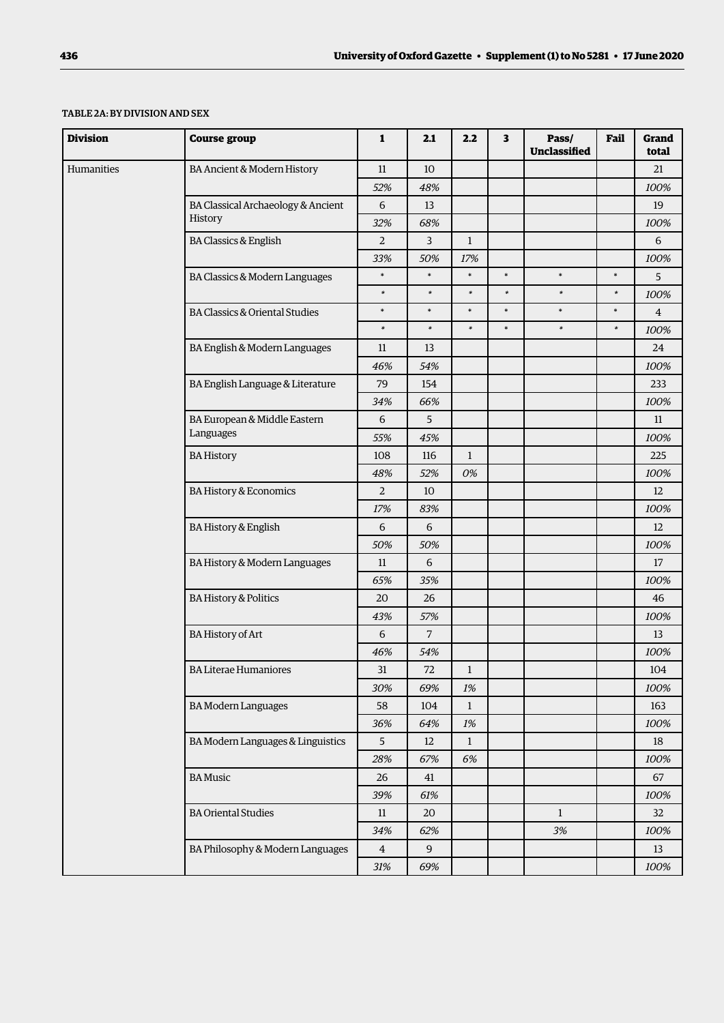### TABLE 2A: BY DIVISION AND SEX

| <b>Division</b> | <b>Course group</b>                | 1              | 2.1              | 2.2          | 3      | Pass/<br>Unclassified | Fail   | Grand<br>total |
|-----------------|------------------------------------|----------------|------------------|--------------|--------|-----------------------|--------|----------------|
| Humanities      | BA Ancient & Modern History        | 11             | 10               |              |        |                       |        | 21             |
|                 |                                    | 52%            | 48%              |              |        |                       |        | 100%           |
|                 | BA Classical Archaeology & Ancient | 6              | 13               |              |        |                       |        | 19             |
|                 | History                            | 32%            | 68%              |              |        |                       |        | 100%           |
|                 | <b>BA Classics &amp; English</b>   | $\overline{2}$ | $\overline{3}$   | $\mathbf{1}$ |        |                       |        | 6              |
|                 |                                    | 33%            | 50%              | 17%          |        |                       |        | 100%           |
|                 | BA Classics & Modern Languages     | $\ast$         | $\ast$           | $\ast$       | $\ast$ | $\ast$                | $\ast$ | 5              |
|                 |                                    | $\ast$         | $\ast$           | $\ast$       | $\ast$ | $\ast$                | $\ast$ | 100%           |
|                 | BA Classics & Oriental Studies     | $\ast$         | $\ast$           | $\ast$       | $\ast$ | $\ast$                | $\ast$ | $\overline{4}$ |
|                 |                                    | $\ast$         | $\ast$           | $\ast$       | $\ast$ | $\ast$                | $\ast$ | 100%           |
|                 | BA English & Modern Languages      | 11             | 13               |              |        |                       |        | 24             |
|                 |                                    | 46%            | 54%              |              |        |                       |        | 100%           |
|                 | BA English Language & Literature   | 79             | 154              |              |        |                       |        | 233            |
|                 |                                    | 34%            | 66%              |              |        |                       |        | 100%           |
|                 | BA European & Middle Eastern       | 6              | 5                |              |        |                       |        | 11             |
|                 | Languages                          | 55%            | 45%              |              |        |                       |        | 100%           |
|                 | <b>BA History</b>                  | 108            | 116              | $\mathbf{1}$ |        |                       |        | 225            |
|                 |                                    | 48%            | 52%              | 0%           |        |                       |        | 100%           |
|                 | BA History & Economics             | $\overline{2}$ | 10               |              |        |                       |        | 12             |
|                 |                                    | 17%            | 83%              |              |        |                       |        | 100%           |
|                 | <b>BA History &amp; English</b>    | 6              | 6                |              |        |                       |        | 12             |
|                 |                                    | 50%            | 50%              |              |        |                       |        | 100%           |
|                 | BA History & Modern Languages      | 11             | 6                |              |        |                       |        | 17             |
|                 |                                    | 65%            | 35%              |              |        |                       |        | 100%           |
|                 | <b>BA History &amp; Politics</b>   | 20             | 26               |              |        |                       |        | 46             |
|                 |                                    | 43%            | 57%              |              |        |                       |        | 100%           |
|                 | <b>BA History of Art</b>           | 6              | $\overline{7}$   |              |        |                       |        | 13             |
|                 |                                    | 46%            | 54%              |              |        |                       |        | 100%           |
|                 | <b>BA Literae Humaniores</b>       | 31             | $72\,$           | $\mathbf{1}$ |        |                       |        | 104            |
|                 |                                    | 30%            | 69%              | 1%           |        |                       |        | 100%           |
|                 | <b>BA Modern Languages</b>         | 58             | 104              | $\mathbf{1}$ |        |                       |        | 163            |
|                 |                                    | 36%            | 64%              | $1\%$        |        |                       |        | 100%           |
|                 | BA Modern Languages & Linguistics  | 5 <sup>5</sup> | 12               | $\mathbf{1}$ |        |                       |        | 18             |
|                 |                                    | 28%            | 67%              | 6%           |        |                       |        | 100%           |
|                 | <b>BA</b> Music                    | 26             | 41               |              |        |                       |        | 67             |
|                 |                                    | 39%            | 61%              |              |        |                       |        | 100%           |
|                 | <b>BA Oriental Studies</b>         | 11             | 20               |              |        | $\mathbf{1}$          |        | 32             |
|                 |                                    | 34%            | 62%              |              |        | $3\%$                 |        | 100%           |
|                 | BA Philosophy & Modern Languages   | $\overline{4}$ | $\boldsymbol{9}$ |              |        |                       |        | 13             |
|                 |                                    | 31%            | 69%              |              |        |                       |        | 100%           |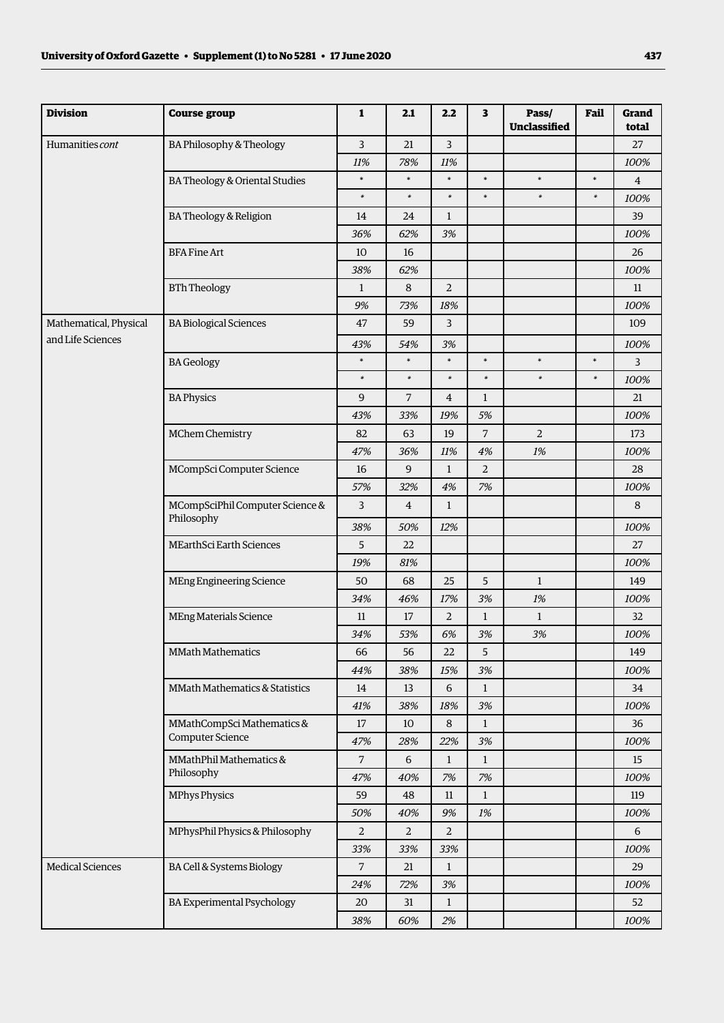| <b>Division</b>         | <b>Course group</b>                           | $\mathbf{1}$   | 2.1            | 2.2            | $\overline{\mathbf{3}}$ | Pass/<br><b>Unclassified</b> | Fail   | Grand<br>total |
|-------------------------|-----------------------------------------------|----------------|----------------|----------------|-------------------------|------------------------------|--------|----------------|
| Humanities cont         | BA Philosophy & Theology                      | 3              | 21             | $\overline{3}$ |                         |                              |        | 27             |
|                         |                                               | 11%            | 78%            | 11%            |                         |                              |        | 100%           |
|                         | BA Theology & Oriental Studies                | $\ast$         | $\ast$         | $\ast$         | $\ast$                  | $\ast$                       | $\ast$ | $\overline{4}$ |
|                         |                                               | $\ast$         | $\ast$         | $\ast$         | $\ast$                  | $\ast$                       | $\ast$ | 100%           |
|                         | <b>BA Theology &amp; Religion</b>             | 14             | 24             | $\mathbf{1}$   |                         |                              |        | 39             |
|                         |                                               | 36%            | 62%            | 3%             |                         |                              |        | 100%           |
|                         | <b>BFA Fine Art</b>                           | 10             | 16             |                |                         |                              |        | 26             |
|                         |                                               | 38%            | 62%            |                |                         |                              |        | 100%           |
|                         | <b>BTh Theology</b>                           | 1              | $\,8\,$        | $\overline{2}$ |                         |                              |        | 11             |
|                         |                                               | 9%             | 73%            | 18%            |                         |                              |        | 100%           |
| Mathematical, Physical  | <b>BA Biological Sciences</b>                 | 47             | 59             | 3              |                         |                              |        | 109            |
| and Life Sciences       |                                               | 43%            | 54%            | 3%             |                         |                              |        | 100%           |
|                         | <b>BA</b> Geology                             | $\ast$         | $\ast$         | $\ast$         | $\ast$                  | $\ast$                       | $\ast$ | 3              |
|                         |                                               | $\ast$         | $\ast$         | $\ast$         | $\ast$                  | $\ast$                       | $\ast$ | 100%           |
|                         | <b>BA Physics</b>                             | 9              | $\overline{7}$ | $\overline{4}$ | $\mathbf{1}$            |                              |        | 21             |
|                         |                                               | 43%            | 33%            | 19%            | 5%                      |                              |        | 100%           |
|                         | MChem Chemistry                               | 82             | 63             | 19             | $\overline{7}$          | $\overline{2}$               |        | 173            |
|                         |                                               | 47%            | 36%            | 11%            | 4%                      | 1%                           |        | 100%           |
|                         | MCompSci Computer Science                     | 16             | $9$            | $\mathbf{1}$   | $\overline{a}$          |                              |        | 28             |
|                         |                                               | 57%            | 32%            | 4%             | 7%                      |                              |        | 100%           |
|                         | MCompSciPhil Computer Science &<br>Philosophy | 3              | $\overline{4}$ | $\mathbf{1}$   |                         |                              |        | 8              |
|                         |                                               | 38%            | 50%            | 12%            |                         |                              |        | 100%           |
|                         | MEarthSci Earth Sciences                      | 5              | 22             |                |                         |                              |        | 27             |
|                         |                                               | 19%            | 81%            |                |                         |                              |        | 100%           |
|                         | MEng Engineering Science                      | 50             | 68             | 25             | 5                       | $\mathbf{1}$                 |        | 149            |
|                         |                                               | 34%            | 46%            | 17%            | 3%                      | 1%                           |        | 100%           |
|                         | <b>MEng Materials Science</b>                 | 11             | 17             | $\overline{a}$ | $\mathbf{1}$            | $\mathbf{1}$                 |        | 32             |
|                         |                                               | 34%            | 53%            | 6%             | 3%                      | 3%                           |        | 100%           |
|                         | <b>MMath Mathematics</b>                      | 66             | 56             | 22             | 5                       |                              |        | 149            |
|                         |                                               | 44%            | 38%            | 15%            | 3%                      |                              |        | 100%           |
|                         | MMath Mathematics & Statistics                | 14             | 13             | 6              | $\mathbf{1}$            |                              |        | 34             |
|                         |                                               | 41%            | 38%            | 18%            | 3%                      |                              |        | 100%           |
|                         | MMathCompSci Mathematics &                    | 17             | 10             | 8              | $\mathbf{1}$            |                              |        | 36             |
|                         | Computer Science                              | 47%            | 28%            | 22%            | 3%                      |                              |        | 100%           |
|                         | MMathPhil Mathematics &                       | 7              | 6              | $\mathbf{1}$   | $\mathbf{1}$            |                              |        | 15             |
|                         | Philosophy                                    | 47%            | 40%            | 7%             | 7%                      |                              |        | 100%           |
|                         | <b>MPhys Physics</b>                          | 59             | 48             | 11             | $\mathbf{1}$            |                              |        | 119            |
|                         |                                               | 50%            | 40%            | 9%             | 1%                      |                              |        | 100%           |
|                         | MPhysPhil Physics & Philosophy                | $\overline{a}$ | $\overline{2}$ | $\overline{2}$ |                         |                              |        | 6              |
|                         |                                               | 33%            | 33%            | 33%            |                         |                              |        | 100%           |
| <b>Medical Sciences</b> | BA Cell & Systems Biology                     | $\overline{7}$ | 21             | $\mathbf{1}$   |                         |                              |        | 29             |
|                         |                                               | 24%            | 72%            | 3%             |                         |                              |        | 100%           |
|                         | <b>BA Experimental Psychology</b>             | 20             | 31             | $\mathbf{1}$   |                         |                              |        | 52             |
|                         |                                               | 38%            | 60%            | 2%             |                         |                              |        | 100%           |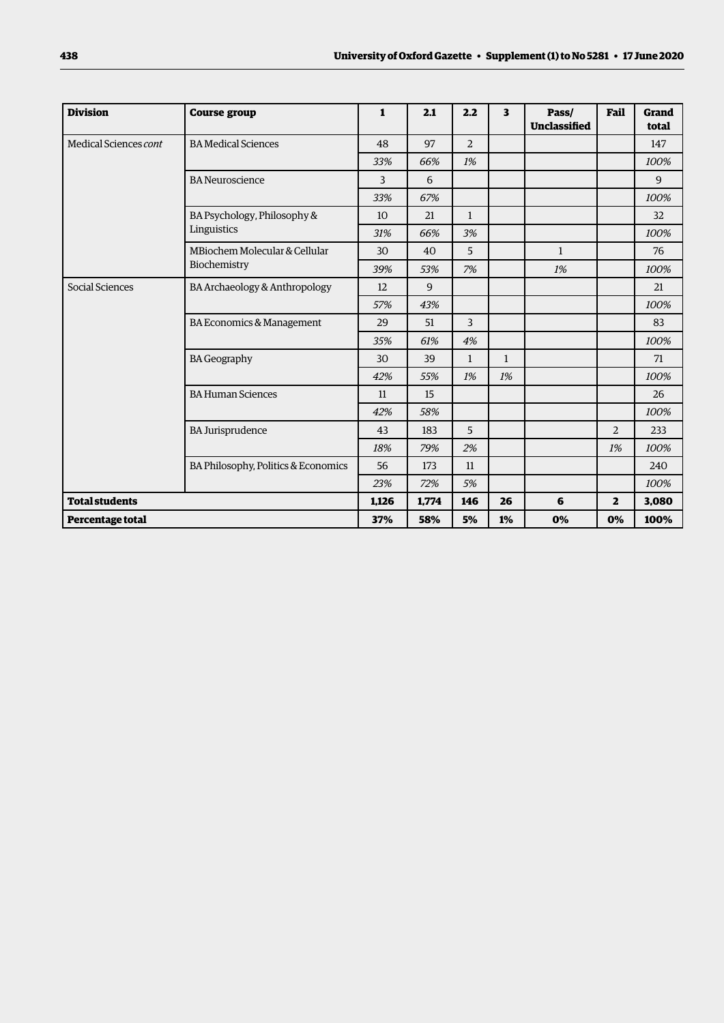| <b>Division</b>       | <b>Course group</b>                 | 1     | 2.1   | 2.2            | 3            | Pass/<br><b>Unclassified</b> | Fail           | Grand<br>total |
|-----------------------|-------------------------------------|-------|-------|----------------|--------------|------------------------------|----------------|----------------|
| Medical Sciences cont | <b>BA Medical Sciences</b>          | 48    | 97    | $\overline{2}$ |              |                              |                | 147            |
|                       |                                     | 33%   | 66%   | 1%             |              |                              |                | 100%           |
|                       | <b>BA Neuroscience</b>              | 3     | 6     |                |              |                              |                | 9              |
|                       |                                     | 33%   | 67%   |                |              |                              |                | 100%           |
|                       | BA Psychology, Philosophy &         | 10    | 21    | $\mathbf{1}$   |              |                              |                | 32             |
|                       | Linguistics                         | 31%   | 66%   | 3%             |              |                              |                | 100%           |
|                       | MBiochem Molecular & Cellular       | 30    | 40    | 5              |              | $\mathbf{1}$                 |                | 76             |
|                       | Biochemistry                        | 39%   | 53%   | 7%             |              | 1%                           |                | 100%           |
| Social Sciences       | BA Archaeology & Anthropology       | 12    | 9     |                |              |                              |                | 21             |
|                       |                                     | 57%   | 43%   |                |              |                              |                | 100%           |
|                       | BA Economics & Management           | 29    | 51    | $\overline{3}$ |              |                              |                | 83             |
|                       |                                     | 35%   | 61%   | 4%             |              |                              |                | 100%           |
|                       | <b>BA Geography</b>                 | 30    | 39    | $\mathbf{1}$   | $\mathbf{1}$ |                              |                | 71             |
|                       |                                     | 42%   | 55%   | 1%             | 1%           |                              |                | 100%           |
|                       | <b>BA Human Sciences</b>            | 11    | 15    |                |              |                              |                | 26             |
|                       |                                     | 42%   | 58%   |                |              |                              |                | 100%           |
|                       | <b>BA Jurisprudence</b>             | 43    | 183   | 5              |              |                              | $\overline{2}$ | 233            |
|                       |                                     | 18%   | 79%   | 2%             |              |                              | 1%             | 100%           |
|                       | BA Philosophy, Politics & Economics | 56    | 173   | 11             |              |                              |                | 240            |
|                       |                                     | 23%   | 72%   | 5%             |              |                              |                | 100%           |
| <b>Total students</b> |                                     | 1,126 | 1,774 | 146            | 26           | 6                            | $\mathbf{z}$   | 3,080          |
| Percentage total      |                                     | 37%   | 58%   | 5%             | 1%           | 0%                           | 0%             | 100%           |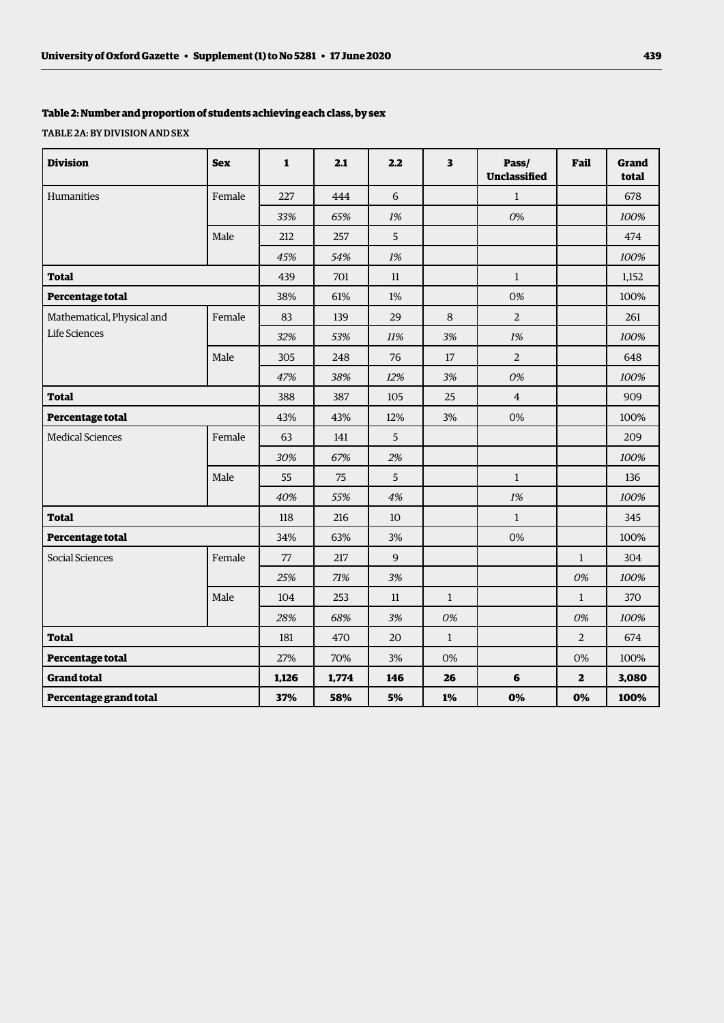# **Table 2: Number and proportion of students achieving each class, by sex**

TABLE 2A: BY DIVISION AND SEX

| <b>Division</b>            | <b>Sex</b> | $\mathbf{1}$ | 2.1   | 2.2            | 3            | Pass/<br>Unclassified | Fail           | Grand<br>total |
|----------------------------|------------|--------------|-------|----------------|--------------|-----------------------|----------------|----------------|
| Humanities                 | Female     | 227          | 444   | 6              |              | $\mathbf{1}$          |                | 678            |
|                            |            | 33%          | 65%   | 1%             |              | 0%                    |                | 100%           |
|                            | Male       | 212          | 257   | 5              |              |                       |                | 474            |
|                            |            | 45%          | 54%   | 1%             |              |                       |                | 100%           |
| <b>Total</b>               |            | 439          | 701   | 11             |              | $\mathbf{1}$          |                | 1,152          |
| Percentage total           |            | 38%          | 61%   | 1%             |              | 0%                    |                | 100%           |
| Mathematical, Physical and | Female     | 83           | 139   | 29             | 8            | 2                     |                | 261            |
| Life Sciences              |            | 32%          | 53%   | 11%            | 3%           | $1\%$                 |                | 100%           |
|                            | Male       | 305          | 248   | 76             | 17           | $\overline{2}$        |                | 648            |
|                            |            | 47%          | 38%   | 12%            | $3\%$        | 0%                    |                | 100%           |
| <b>Total</b>               |            | 388          | 387   | 105            | 25           | $\overline{4}$        |                | 909            |
| Percentage total           |            | 43%          | 43%   | 12%            | 3%           | 0%                    |                | 100%           |
| <b>Medical Sciences</b>    | Female     | 63           | 141   | 5 <sup>5</sup> |              |                       |                | 209            |
|                            |            | 30%          | 67%   | 2%             |              |                       |                | 100%           |
|                            | Male       | 55           | 75    | 5              |              | $\mathbf{1}$          |                | 136            |
|                            |            | 40%          | 55%   | 4%             |              | 1%                    |                | 100%           |
| <b>Total</b>               |            | $118\,$      | 216   | 10             |              | $\mathbf{1}$          |                | 345            |
| Percentage total           |            | 34%          | 63%   | 3%             |              | 0%                    |                | 100%           |
| Social Sciences            | Female     | 77           | 217   | 9              |              |                       | $\mathbf{1}$   | 304            |
|                            |            | 25%          | 71%   | 3%             |              |                       | 0%             | 100%           |
|                            | Male       | 104          | 253   | 11             | $\mathbf{1}$ |                       | $\mathbf{1}$   | 370            |
|                            |            | 28%          | 68%   | 3%             | 0%           |                       | 0%             | 100%           |
| <b>Total</b>               |            | 181          | 470   | 20             | $\mathbf{1}$ |                       | $\overline{2}$ | 674            |
| Percentage total           |            | 27%          | 70%   | 3%             | $0\%$        |                       | $0\%$          | 100%           |
| <b>Grand total</b>         |            | 1,126        | 1,774 | 146            | 26           | 6                     | $\overline{2}$ | 3,080          |
| Percentage grand total     |            | 37%          | 58%   | 5%             | 1%           | 0%                    | 0%             | 100%           |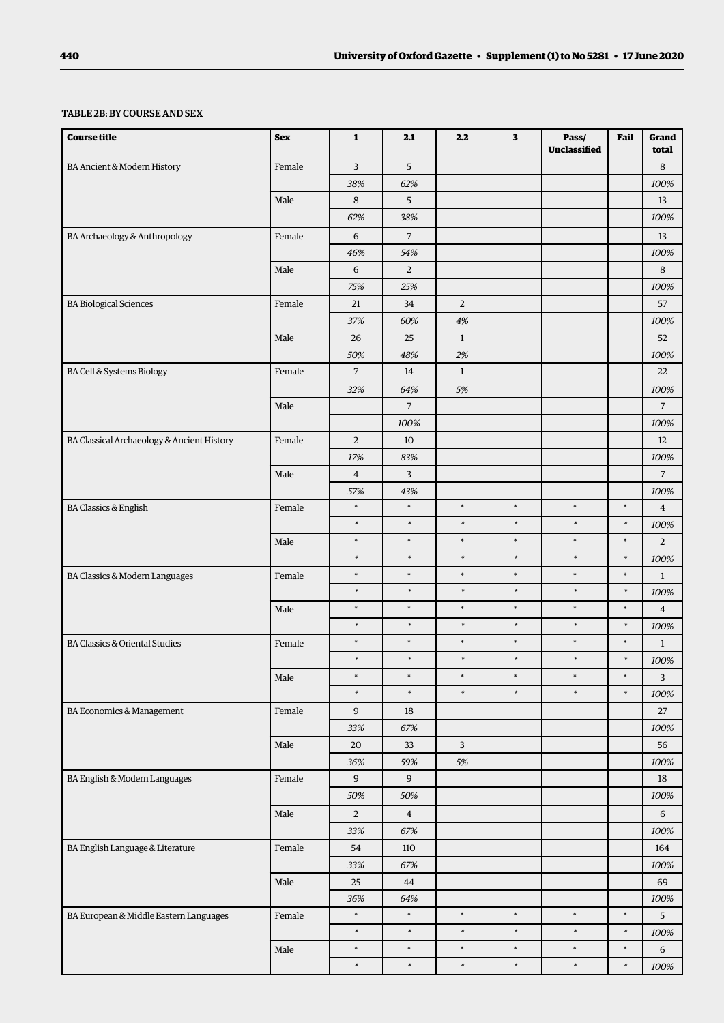#### TABLE 2B: BY COURSE AND SEX

| <b>Course title</b>                        | <b>Sex</b> | $\mathbf{1}$     | 2.1            | 2.2                     | 3      | Pass/<br>Unclassified | Fail   | Grand<br>total |
|--------------------------------------------|------------|------------------|----------------|-------------------------|--------|-----------------------|--------|----------------|
| BA Ancient & Modern History                | Female     | 3                | 5              |                         |        |                       |        | 8              |
|                                            |            | 38%              | 62%            |                         |        |                       |        | 100%           |
|                                            | Male       | 8                | 5              |                         |        |                       |        | 13             |
|                                            |            | 62%              | 38%            |                         |        |                       |        | 100%           |
| BA Archaeology & Anthropology              | Female     | 6                | $\overline{7}$ |                         |        |                       |        | 13             |
|                                            |            | 46%              | 54%            |                         |        |                       |        | 100%           |
|                                            | Male       | 6                | $\overline{2}$ |                         |        |                       |        | 8              |
|                                            |            | 75%              | 25%            |                         |        |                       |        | 100%           |
| <b>BA Biological Sciences</b>              | Female     | 21               | 34             | $\overline{2}$          |        |                       |        | 57             |
|                                            |            | 37%              | 60%            | 4%                      |        |                       |        | 100%           |
|                                            | Male       | 26               | 25             | $\mathbf{1}$            |        |                       |        | 52             |
|                                            |            | 50%              | 48%            | 2%                      |        |                       |        | 100%           |
| BA Cell & Systems Biology                  | Female     | $\sqrt{7}$       | 14             | $\mathbf{1}$            |        |                       |        | 22             |
|                                            |            | 32%              | 64%            | 5%                      |        |                       |        | 100%           |
|                                            | Male       |                  | 7              |                         |        |                       |        | $\overline{7}$ |
|                                            |            |                  | 100%           |                         |        |                       |        | 100%           |
| BA Classical Archaeology & Ancient History | Female     | 2                | 10             |                         |        |                       |        | 12             |
|                                            |            | 17%              | 83%            |                         |        |                       |        | 100%           |
|                                            | Male       | $\overline{4}$   | 3              |                         |        |                       |        | $\overline{7}$ |
|                                            |            | 57%              | 43%            |                         |        |                       |        | 100%           |
| <b>BA Classics &amp; English</b>           | Female     | $\ast$           | $\ast$         | $\ast$                  | $\ast$ | $\ast$                | *      | $\overline{4}$ |
|                                            |            | $\ast$           | $\ast$         | $\ast$                  | $\ast$ | $\ast$                | $\ast$ | 100%           |
|                                            | Male       | $\ast$           | $\ast$         | $\ast$                  | $\ast$ | $\ast$                | $\ast$ | $\overline{2}$ |
|                                            |            | $\ast$           | $\ast$         | $\ast$                  | $\ast$ | $\ast$                | $\ast$ | 100%           |
| BA Classics & Modern Languages             | Female     | $\ast$           | $\ast$         | $\ast$                  | $\ast$ | $\ast$                | $\ast$ | $\mathbf{1}$   |
|                                            |            | $\ast$           | $\ast$         | $\ast$                  | $\ast$ | $\ast$                | $\ast$ | 100%           |
|                                            | Male       | $\ast$           | $\ast$         | $\ast$                  | $\ast$ | $\ast$                | $\ast$ | $\overline{4}$ |
|                                            |            | $\ast$           | $\ast$         | $\ast$                  | $\ast$ | $\ast$                | $\ast$ | 100%           |
| <b>BA Classics &amp; Oriental Studies</b>  | Female     | $\ast$           | $\ast$         | $\ast$                  | $\ast$ | $\ast$                | $\ast$ | $\mathbf{1}$   |
|                                            |            | $\ast$           | $\ast$         | $\ast$                  | $\ast$ | $\ast$                | $\ast$ | 100%           |
|                                            | Male       | $\ast$           | $\ast$         | $\ast$                  | $\ast$ | $\ast$                | $\ast$ | 3              |
|                                            |            | $\ast$           | $\ast$         | $\ast$                  | $\ast$ | $\ast$                | $\ast$ | 100%           |
| BA Economics & Management                  | Female     | $\boldsymbol{9}$ | 18             |                         |        |                       |        | $27\,$         |
|                                            |            | 33%              | 67%            |                         |        |                       |        | 100%           |
|                                            | Male       | $20\,$           | 33             | $\overline{\mathbf{3}}$ |        |                       |        | 56             |
|                                            |            | 36%              | 59%            | $5\%$                   |        |                       |        | 100%           |
| BA English & Modern Languages              | Female     | $\boldsymbol{9}$ | 9              |                         |        |                       |        | $18\,$         |
|                                            |            | 50%              | 50%            |                         |        |                       |        | 100%           |
|                                            | Male       | $\sqrt{2}$       | $\overline{4}$ |                         |        |                       |        | $\,$ 6 $\,$    |
|                                            |            | 33%              | 67%            |                         |        |                       |        | 100%           |
| BA English Language & Literature           | Female     | 54               | 110            |                         |        |                       |        | 164            |
|                                            |            | 33%              | 67%            |                         |        |                       |        | 100%           |
|                                            | $\rm Male$ | $25\,$           | $\bf 44$       |                         |        |                       |        | 69             |
|                                            |            | 36%              | 64%            |                         |        |                       |        | 100%           |
| BA European & Middle Eastern Languages     | Female     | $\ast$           | $\ast$         | $\ast$                  | $\ast$ | $\ast$                | $\ast$ | 5              |
|                                            |            | $\ast$           | $\ast$         | $\ast$                  | $\ast$ | $\ast$                | $\ast$ | 100%           |
|                                            | Male       | $\ast$           | $\ast$         | $\ast$                  | $\ast$ | $\ast$                | $\ast$ | 6              |
|                                            |            | $\ast$           | $\ast$         | $\ast$                  | $\ast$ | $\ast$                | $\ast$ | $100\%$        |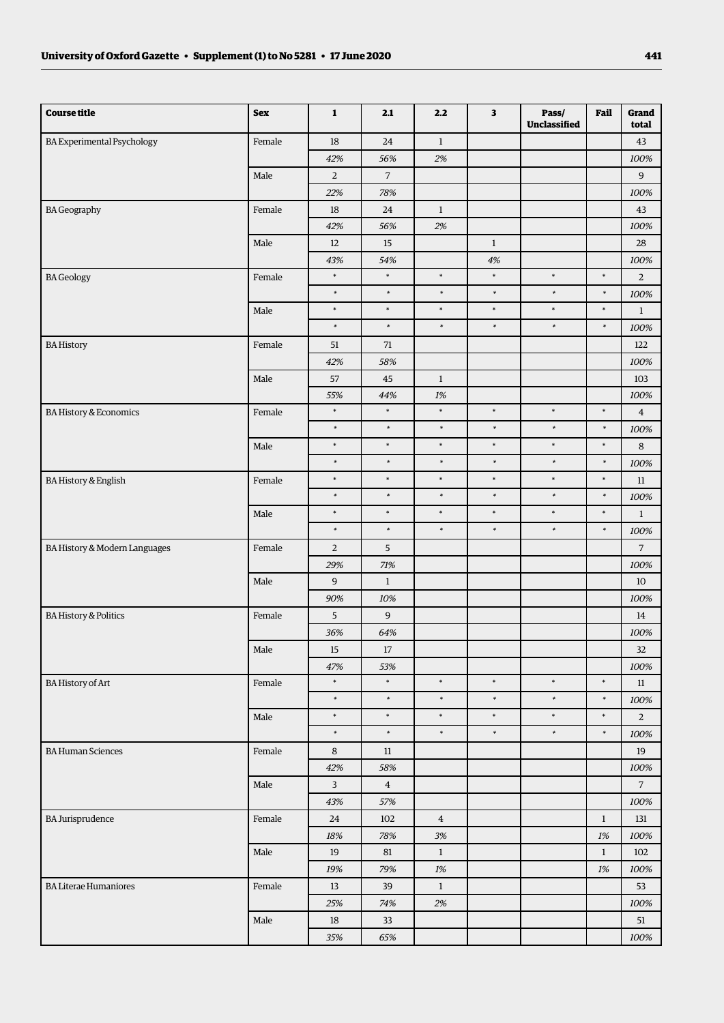| <b>Course title</b>               | <b>Sex</b> | $\mathbf{1}$     | 2.1                 | 2.2            | $\overline{\mathbf{3}}$ | Pass/<br>Unclassified | Fail             | Grand<br>total   |
|-----------------------------------|------------|------------------|---------------------|----------------|-------------------------|-----------------------|------------------|------------------|
| <b>BA Experimental Psychology</b> | Female     | $18\,$           | $24\,$              | $\,1$          |                         |                       |                  | 43               |
|                                   |            | 42%              | 56%                 | 2%             |                         |                       |                  | 100%             |
|                                   | Male       | $\overline{2}$   | $\overline{7}$      |                |                         |                       |                  | $\boldsymbol{9}$ |
|                                   |            | 22%              | 78%                 |                |                         |                       |                  | 100%             |
| <b>BA Geography</b>               | Female     | 18               | 24                  | $\mathbf{1}$   |                         |                       |                  | 43               |
|                                   |            | 42%              | 56%                 | 2%             |                         |                       |                  | 100%             |
|                                   | Male       | 12               | 15                  |                | $\mathbf{1}$            |                       |                  | 28               |
|                                   |            | 43%              | 54%                 |                | 4%                      |                       |                  | 100%             |
| <b>BA</b> Geology                 | Female     | $\ast$           | $\ast$              | $\ast$         | $\ast$                  | $\ast$                | $\ast$           | $\overline{2}$   |
|                                   |            | $\ast$           | $\ast$              | $\ast$         | $\ast$                  | $\ast$                | $\ast$           | 100%             |
|                                   | Male       | $\ast$           | $\ast$              | $\ast$         | $\ast$                  | $\ast$                | $\ast$           | $1\,$            |
|                                   |            | $\ast$           | $\ast$              | $\ast$         | $\ast$                  | $\ast$                | $\ast$           | 100%             |
| <b>BA History</b>                 | Female     | 51               | 71                  |                |                         |                       |                  | 122              |
|                                   |            | 42%              | 58%                 |                |                         |                       |                  | 100%             |
|                                   | Male       | 57               | 45                  | $\mathbf{1}$   |                         |                       |                  | 103              |
|                                   |            | 55%              | 44%                 | 1%             |                         |                       |                  | 100%             |
| <b>BA History &amp; Economics</b> | Female     | $\ast$           | $\ast$              | $\ast$         | $\ast$                  | $\ast$                | $\ast$           | $\bf{4}$         |
|                                   |            | $\ast$           | $\ast$              | $\ast$         | $\ast$                  | $\ast$                | $\ast$           | 100%             |
|                                   | Male       | $\ast$           | $\ast$              | $\ast$         | $\ast$                  | $\ast$                | $\ast$           | 8                |
|                                   |            | $\ast$           | $\ast$              | $\ast$         | $\ast$                  | $\ast$                | $\ast$           | 100%             |
| BA History & English              | Female     | $\ast$           | $\ast$              | $\ast$         | $\ast$                  | $\ast$                | $\ast$           | $11\,$           |
|                                   |            | $\ast$           | $\ast$              | $\ast$         | $\ast$                  | $\ast$                | $\ast$           | 100%             |
|                                   | Male       | $\ast$<br>$\ast$ | $\ast$<br>$\ast$    | $\ast$         | $\ast$<br>$\ast$        | $\ast$                | $\ast$<br>$\ast$ | $\mathbf{1}$     |
|                                   |            |                  |                     | $\ast$         |                         | $\ast$                |                  | 100%             |
| BA History & Modern Languages     | Female     | $\overline{2}$   | $5\phantom{.0}$     |                |                         |                       |                  | $\overline{7}$   |
|                                   |            | 29%              | $71\%$              |                |                         |                       |                  | 100%             |
|                                   | Male       | 9<br>90%         | $\mathbf{1}$<br>10% |                |                         |                       |                  | 10               |
| <b>BA History &amp; Politics</b>  | Female     | 5                | $\boldsymbol{9}$    |                |                         |                       |                  | 100%<br>14       |
|                                   |            | 36%              | 64%                 |                |                         |                       |                  | 100%             |
|                                   | $\rm Male$ |                  |                     |                |                         |                       |                  |                  |
|                                   |            | 15<br>47%        | 17<br>53%           |                |                         |                       |                  | 32<br>100%       |
| BA History of Art                 | Female     | $\ast$           | $\ast$              | $\ast$         | $\ast$                  | $\ast$                | $\ast$           | 11               |
|                                   |            | $\ast$           | $\ast$              | $\ast$         | $\ast$                  | $\ast$                | $\ast$           | $100\%$          |
|                                   | Male       | $\ast$           | $\ast$              | $\ast$         | $\ast$                  | $\ast$                | $\ast$           | $\overline{a}$   |
|                                   |            | $\ast$           | $\ast$              | $\ast$         | $\ast$                  | $\ast$                | $\ast$           | 100%             |
| <b>BA Human Sciences</b>          | Female     | $\,8\,$          | 11                  |                |                         |                       |                  | 19               |
|                                   |            | 42%              | 58%                 |                |                         |                       |                  | 100%             |
|                                   | Male       | $\overline{3}$   | $\overline{4}$      |                |                         |                       |                  | $\overline{7}$   |
|                                   |            | 43%              | 57%                 |                |                         |                       |                  | $100\%$          |
| <b>BA Jurisprudence</b>           | Female     | 24               | 102                 | $\overline{4}$ |                         |                       | $\mathbf{1}$     | 131              |
|                                   |            | $18\%$           | 78%                 | 3%             |                         |                       | $1\%$            | 100%             |
|                                   | Male       | $19\,$           | 81                  | $\mathbf{1}$   |                         |                       | $\mathbf{1}$     | 102              |
|                                   |            | 19%              | 79%                 | 1%             |                         |                       | 1%               | 100%             |
| <b>BA Literae Humaniores</b>      | Female     | 13               | 39                  | $\mathbf{1}$   |                         |                       |                  | 53               |
|                                   |            | 25%              | 74%                 | $2\%$          |                         |                       |                  | 100%             |
|                                   | Male       | 18               | 33                  |                |                         |                       |                  | 51               |
|                                   |            | 35%              | 65%                 |                |                         |                       |                  | 100%             |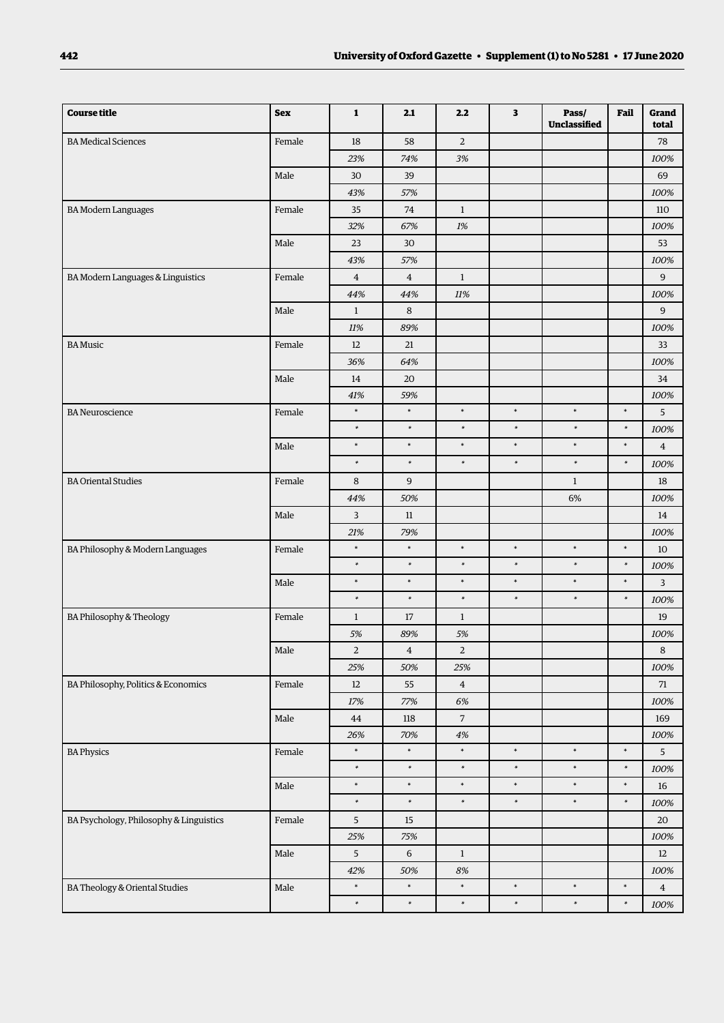| <b>Course title</b>                     | <b>Sex</b> | 1              | 2.1            | 2.2            | 3      | Pass/<br>Unclassified | Fail   | Grand<br>total |
|-----------------------------------------|------------|----------------|----------------|----------------|--------|-----------------------|--------|----------------|
| <b>BA</b> Medical Sciences              | Female     | 18             | 58             | $\overline{2}$ |        |                       |        | 78             |
|                                         |            | 23%            | 74%            | 3%             |        |                       |        | 100%           |
|                                         | Male       | 30             | 39             |                |        |                       |        | 69             |
|                                         |            | 43%            | 57%            |                |        |                       |        | 100%           |
| <b>BA Modern Languages</b>              | Female     | 35             | $74\,$         | $\mathbf{1}$   |        |                       |        | 110            |
|                                         |            | 32%            | 67%            | 1%             |        |                       |        | 100%           |
|                                         | Male       | 23             | 30             |                |        |                       |        | 53             |
|                                         |            | 43%            | 57%            |                |        |                       |        | 100%           |
| BA Modern Languages & Linguistics       | Female     | $\bf 4$        | $\overline{4}$ | $\mathbf{1}$   |        |                       |        | 9              |
|                                         |            | 44%            | 44%            | 11%            |        |                       |        | 100%           |
|                                         | Male       | $\mathbf{1}$   | 8              |                |        |                       |        | 9              |
|                                         |            | 11%            | 89%            |                |        |                       |        | 100%           |
| <b>BA</b> Music                         | Female     | 12             | 21             |                |        |                       |        | 33             |
|                                         |            | 36%            | 64%            |                |        |                       |        | 100%           |
|                                         | Male       | 14             | 20             |                |        |                       |        | 34             |
|                                         |            | 41%            | 59%            |                |        |                       |        | 100%           |
| <b>BA</b> Neuroscience                  | Female     | $\ast$         | $\ast$         | $\ast$         | $\ast$ | $\ast$                | $\ast$ | 5              |
|                                         |            | $\ast$         | $\ast$         | $\ast$         | $\ast$ | $\ast$                | $\ast$ | 100%           |
|                                         | Male       | $\ast$         | $\ast$         | $\ast$         | $\ast$ | $\ast$                | $\ast$ | $\overline{4}$ |
|                                         |            | $\ast$         | $\ast$         | $\ast$         | $\ast$ | $\ast$                | $\ast$ | 100%           |
| <b>BA Oriental Studies</b>              | Female     | 8              | 9              |                |        | $\mathbf{1}$          |        | 18             |
|                                         |            | 44%            | 50%            |                |        | 6%                    |        | 100%           |
|                                         | Male       | 3              | $11\,$         |                |        |                       |        | 14             |
|                                         |            | 21%            | 79%            |                |        |                       |        | 100%           |
| BA Philosophy & Modern Languages        | Female     | $\ast$         | $\ast$         | $\ast$         | $\ast$ | $\ast$                | $\ast$ | 10             |
|                                         |            | $\ast$         | $\ast$         | $\ast$         | $\ast$ | $\ast$                | $\ast$ | 100%           |
|                                         | Male       | $\ast$         | $\ast$         | $\ast$         | $\ast$ | $\ast$                | $\ast$ | 3              |
|                                         |            | $\ast$         | $\ast$         | $\ast$         | $\ast$ | $\ast$                | $\ast$ | 100%           |
| BA Philosophy & Theology                | Female     | $\mathbf{1}$   | 17             | $\mathbf{1}$   |        |                       |        | 19             |
|                                         |            | 5%             | 89%            | 5%             |        |                       |        | 100%           |
|                                         | Male       | $\overline{2}$ | $\overline{4}$ | $\overline{a}$ |        |                       |        | 8              |
|                                         |            | 25%            | 50%            | 25%            |        |                       |        | 100%           |
| BA Philosophy, Politics & Economics     | Female     | $12\,$         | 55             | $\overline{4}$ |        |                       |        | $71\,$         |
|                                         |            | $17\%$         | 77%            | 6%             |        |                       |        | 100%           |
|                                         | Male       | 44             | 118            | $\overline{7}$ |        |                       |        | 169            |
|                                         |            | 26%            | 70%            | $4\%$          |        |                       |        | 100%           |
| <b>BA Physics</b>                       | Female     | $\ast$         | $\ast$         | $\ast$         | $\ast$ | $\ast$                | $\ast$ | 5              |
|                                         |            | $\ast$         | $\ast$         | $\ast$         | $\ast$ | $\ast$                | $\ast$ | 100%           |
|                                         | Male       | $\ast$         | $\ast$         | $\ast$         | $\ast$ | $\ast$                | $\ast$ | 16             |
|                                         |            | $\ast$         | $\ast$         | $\ast$         | $\ast$ | $\ast$                | $\ast$ | 100%           |
| BA Psychology, Philosophy & Linguistics | Female     | $\sqrt{5}$     | 15             |                |        |                       |        | 20             |
|                                         |            | 25%            | 75%            |                |        |                       |        | 100%           |
|                                         | Male       | $\sqrt{5}$     | 6              | $\mathbf{1}$   |        |                       |        | $12\,$         |
|                                         |            | 42%            | 50%            | 8%             |        |                       |        | 100%           |
| BA Theology & Oriental Studies          | Male       | $\ast$         | $\ast$         | $\ast$         | $\ast$ | $\ast$                | $\ast$ | $\overline{4}$ |
|                                         |            | $\ast$         | $\ast$         | $\ast$         | $\ast$ | $\ast$                | $\ast$ | $100\%$        |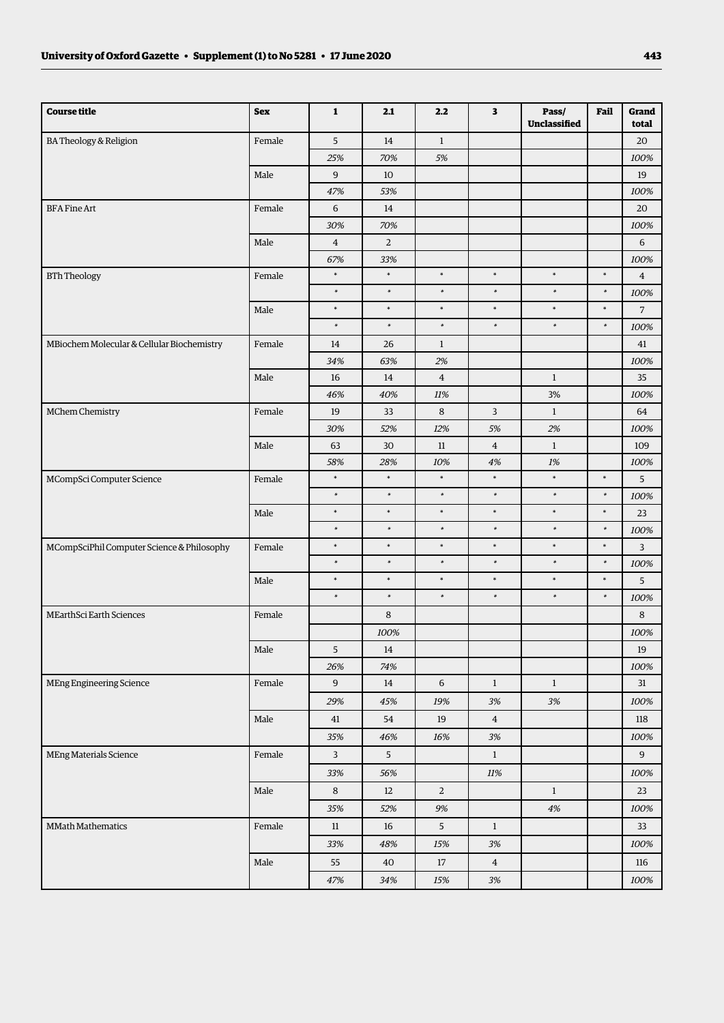| 5<br><b>BA Theology &amp; Religion</b><br>Female<br>14<br>$\mathbf{1}$<br>20<br>25%<br>70%<br>5%<br>100%<br>9<br>Male<br>10<br>19<br>47%<br>53%<br>100%<br>Female<br>6<br><b>BFA Fine Art</b><br>14<br>20<br>70%<br>30%<br>100%<br>Male<br>$\overline{4}$<br>$\overline{2}$<br>6<br>67%<br>33%<br>100%<br>$\ast$<br>$\ast$<br>$\ast$<br>$\ast$<br>$\ast$<br>$\ast$<br><b>BTh Theology</b><br>Female<br>$\overline{4}$<br>$\ast$<br>$\ast$<br>$\ast$<br>$\ast$<br>$\ast$<br>$\ast$<br>100%<br>$\ast$<br>$\ast$<br>$\ast$<br>$\ast$<br>$\ast$<br>$\ast$<br>7<br>Male<br>$\ast$<br>$\ast$<br>$\ast$<br>$\ast$<br>$\ast$<br>$\ast$<br>100%<br>MBiochem Molecular & Cellular Biochemistry<br>Female<br>$\mathbf{1}$<br>14<br>26<br>41<br>34%<br>63%<br>100%<br>2%<br>Male<br>$\overline{4}$<br>$\mathbf{1}$<br>16<br>14<br>35<br>46%<br>40%<br>3%<br>11%<br>100%<br>MChem Chemistry<br>Female<br>8<br>3<br>19<br>33<br>$\mathbf{1}$<br>64<br>30%<br>12%<br>2%<br>52%<br>5%<br>100%<br>Male<br>63<br>30<br>$\overline{4}$<br>$\mathbf{1}$<br>109<br>11<br>58%<br>28%<br>10%<br>4%<br>1%<br>100%<br>$\ast$<br>$\ast$<br>$\ast$<br>$\ast$<br>$\ast$<br>$\ast$<br>5<br>MCompSci Computer Science<br>Female<br>$\ast$<br>$\ast$<br>$\ast$<br>$\ast$<br>$\ast$<br>$\ast$<br>100%<br>$\ast$<br>$\ast$<br>$\ast$<br>$\ast$<br>$\ast$<br>$\ast$<br>Male<br>23<br>$\ast$<br>$\ast$<br>$\ast$<br>$\ast$<br>$\ast$<br>$\ast$<br>100%<br>$\ast$<br>$\ast$<br>$\ast$<br>$\ast$<br>$\ast$<br>$\ast$<br>MCompSciPhil Computer Science & Philosophy<br>3<br>Female<br>$\ast$<br>$\ast$<br>$\ast$<br>$\ast$<br>$\ast$<br>$\ast$<br>100%<br>$\ast$<br>$\ast$<br>$\star$<br>$\ast$<br>$\ast$<br>$\ast$<br>Male<br>5<br>$\ast$<br>$\ast$<br>$\ast$<br>$\ast$<br>$\ast$<br>$\ast$<br>100%<br>8<br>$\,8\,$<br>MEarthSci Earth Sciences<br>Female<br>100%<br>100%<br>Male<br>5<br>14<br>19<br>26%<br>74%<br>100%<br>$\overline{9}$<br>MEng Engineering Science<br>Female<br>$\sqrt{6}$<br>$\mathbf{1}$<br>$\mathbf{1}$<br>31<br>14<br>29%<br>$3\%$<br>45%<br>19%<br>3%<br>100%<br>Male<br>54<br>19<br>$\overline{4}$<br>118<br>41<br>35%<br>46%<br>3%<br>100%<br>16%<br>$5\overline{)}$<br>$\boldsymbol{9}$<br>MEng Materials Science<br>$\mathbf{3}$<br>$\mathbf{1}$<br>Female<br>33%<br>56%<br>$11\%$<br>100%<br>$\rm Male$<br>8<br>$\overline{a}$<br>12<br>$\mathbf{1}$<br>23<br>35%<br>52%<br>$9\%$<br>$4\%$<br>100%<br>$\overline{5}$<br><b>MMath Mathematics</b><br>Female<br>$11\,$<br>16<br>$\mathbf{1}$<br>33<br>33%<br>48%<br>15%<br>$3\%$<br>100%<br>$\rm Male$<br>55<br>40<br>17<br>$\overline{4}$<br>116 | <b>Course title</b> | <b>Sex</b> | $\mathbf{1}$ | 2.1 | 2.2 | $\overline{\mathbf{3}}$ | Pass/<br>Unclassified | Fail | Grand<br>total |
|------------------------------------------------------------------------------------------------------------------------------------------------------------------------------------------------------------------------------------------------------------------------------------------------------------------------------------------------------------------------------------------------------------------------------------------------------------------------------------------------------------------------------------------------------------------------------------------------------------------------------------------------------------------------------------------------------------------------------------------------------------------------------------------------------------------------------------------------------------------------------------------------------------------------------------------------------------------------------------------------------------------------------------------------------------------------------------------------------------------------------------------------------------------------------------------------------------------------------------------------------------------------------------------------------------------------------------------------------------------------------------------------------------------------------------------------------------------------------------------------------------------------------------------------------------------------------------------------------------------------------------------------------------------------------------------------------------------------------------------------------------------------------------------------------------------------------------------------------------------------------------------------------------------------------------------------------------------------------------------------------------------------------------------------------------------------------------------------------------------------------------------------------------------------------------------------------------------------------------------------------------------------------------------------------------------------------------------------------------------------------------------------------------------------------------------------------------------------------------------------------------------------------------------------------------------------------------------|---------------------|------------|--------------|-----|-----|-------------------------|-----------------------|------|----------------|
|                                                                                                                                                                                                                                                                                                                                                                                                                                                                                                                                                                                                                                                                                                                                                                                                                                                                                                                                                                                                                                                                                                                                                                                                                                                                                                                                                                                                                                                                                                                                                                                                                                                                                                                                                                                                                                                                                                                                                                                                                                                                                                                                                                                                                                                                                                                                                                                                                                                                                                                                                                                          |                     |            |              |     |     |                         |                       |      |                |
|                                                                                                                                                                                                                                                                                                                                                                                                                                                                                                                                                                                                                                                                                                                                                                                                                                                                                                                                                                                                                                                                                                                                                                                                                                                                                                                                                                                                                                                                                                                                                                                                                                                                                                                                                                                                                                                                                                                                                                                                                                                                                                                                                                                                                                                                                                                                                                                                                                                                                                                                                                                          |                     |            |              |     |     |                         |                       |      |                |
|                                                                                                                                                                                                                                                                                                                                                                                                                                                                                                                                                                                                                                                                                                                                                                                                                                                                                                                                                                                                                                                                                                                                                                                                                                                                                                                                                                                                                                                                                                                                                                                                                                                                                                                                                                                                                                                                                                                                                                                                                                                                                                                                                                                                                                                                                                                                                                                                                                                                                                                                                                                          |                     |            |              |     |     |                         |                       |      |                |
|                                                                                                                                                                                                                                                                                                                                                                                                                                                                                                                                                                                                                                                                                                                                                                                                                                                                                                                                                                                                                                                                                                                                                                                                                                                                                                                                                                                                                                                                                                                                                                                                                                                                                                                                                                                                                                                                                                                                                                                                                                                                                                                                                                                                                                                                                                                                                                                                                                                                                                                                                                                          |                     |            |              |     |     |                         |                       |      |                |
|                                                                                                                                                                                                                                                                                                                                                                                                                                                                                                                                                                                                                                                                                                                                                                                                                                                                                                                                                                                                                                                                                                                                                                                                                                                                                                                                                                                                                                                                                                                                                                                                                                                                                                                                                                                                                                                                                                                                                                                                                                                                                                                                                                                                                                                                                                                                                                                                                                                                                                                                                                                          |                     |            |              |     |     |                         |                       |      |                |
|                                                                                                                                                                                                                                                                                                                                                                                                                                                                                                                                                                                                                                                                                                                                                                                                                                                                                                                                                                                                                                                                                                                                                                                                                                                                                                                                                                                                                                                                                                                                                                                                                                                                                                                                                                                                                                                                                                                                                                                                                                                                                                                                                                                                                                                                                                                                                                                                                                                                                                                                                                                          |                     |            |              |     |     |                         |                       |      |                |
|                                                                                                                                                                                                                                                                                                                                                                                                                                                                                                                                                                                                                                                                                                                                                                                                                                                                                                                                                                                                                                                                                                                                                                                                                                                                                                                                                                                                                                                                                                                                                                                                                                                                                                                                                                                                                                                                                                                                                                                                                                                                                                                                                                                                                                                                                                                                                                                                                                                                                                                                                                                          |                     |            |              |     |     |                         |                       |      |                |
|                                                                                                                                                                                                                                                                                                                                                                                                                                                                                                                                                                                                                                                                                                                                                                                                                                                                                                                                                                                                                                                                                                                                                                                                                                                                                                                                                                                                                                                                                                                                                                                                                                                                                                                                                                                                                                                                                                                                                                                                                                                                                                                                                                                                                                                                                                                                                                                                                                                                                                                                                                                          |                     |            |              |     |     |                         |                       |      |                |
|                                                                                                                                                                                                                                                                                                                                                                                                                                                                                                                                                                                                                                                                                                                                                                                                                                                                                                                                                                                                                                                                                                                                                                                                                                                                                                                                                                                                                                                                                                                                                                                                                                                                                                                                                                                                                                                                                                                                                                                                                                                                                                                                                                                                                                                                                                                                                                                                                                                                                                                                                                                          |                     |            |              |     |     |                         |                       |      |                |
|                                                                                                                                                                                                                                                                                                                                                                                                                                                                                                                                                                                                                                                                                                                                                                                                                                                                                                                                                                                                                                                                                                                                                                                                                                                                                                                                                                                                                                                                                                                                                                                                                                                                                                                                                                                                                                                                                                                                                                                                                                                                                                                                                                                                                                                                                                                                                                                                                                                                                                                                                                                          |                     |            |              |     |     |                         |                       |      |                |
|                                                                                                                                                                                                                                                                                                                                                                                                                                                                                                                                                                                                                                                                                                                                                                                                                                                                                                                                                                                                                                                                                                                                                                                                                                                                                                                                                                                                                                                                                                                                                                                                                                                                                                                                                                                                                                                                                                                                                                                                                                                                                                                                                                                                                                                                                                                                                                                                                                                                                                                                                                                          |                     |            |              |     |     |                         |                       |      |                |
|                                                                                                                                                                                                                                                                                                                                                                                                                                                                                                                                                                                                                                                                                                                                                                                                                                                                                                                                                                                                                                                                                                                                                                                                                                                                                                                                                                                                                                                                                                                                                                                                                                                                                                                                                                                                                                                                                                                                                                                                                                                                                                                                                                                                                                                                                                                                                                                                                                                                                                                                                                                          |                     |            |              |     |     |                         |                       |      |                |
|                                                                                                                                                                                                                                                                                                                                                                                                                                                                                                                                                                                                                                                                                                                                                                                                                                                                                                                                                                                                                                                                                                                                                                                                                                                                                                                                                                                                                                                                                                                                                                                                                                                                                                                                                                                                                                                                                                                                                                                                                                                                                                                                                                                                                                                                                                                                                                                                                                                                                                                                                                                          |                     |            |              |     |     |                         |                       |      |                |
|                                                                                                                                                                                                                                                                                                                                                                                                                                                                                                                                                                                                                                                                                                                                                                                                                                                                                                                                                                                                                                                                                                                                                                                                                                                                                                                                                                                                                                                                                                                                                                                                                                                                                                                                                                                                                                                                                                                                                                                                                                                                                                                                                                                                                                                                                                                                                                                                                                                                                                                                                                                          |                     |            |              |     |     |                         |                       |      |                |
|                                                                                                                                                                                                                                                                                                                                                                                                                                                                                                                                                                                                                                                                                                                                                                                                                                                                                                                                                                                                                                                                                                                                                                                                                                                                                                                                                                                                                                                                                                                                                                                                                                                                                                                                                                                                                                                                                                                                                                                                                                                                                                                                                                                                                                                                                                                                                                                                                                                                                                                                                                                          |                     |            |              |     |     |                         |                       |      |                |
|                                                                                                                                                                                                                                                                                                                                                                                                                                                                                                                                                                                                                                                                                                                                                                                                                                                                                                                                                                                                                                                                                                                                                                                                                                                                                                                                                                                                                                                                                                                                                                                                                                                                                                                                                                                                                                                                                                                                                                                                                                                                                                                                                                                                                                                                                                                                                                                                                                                                                                                                                                                          |                     |            |              |     |     |                         |                       |      |                |
|                                                                                                                                                                                                                                                                                                                                                                                                                                                                                                                                                                                                                                                                                                                                                                                                                                                                                                                                                                                                                                                                                                                                                                                                                                                                                                                                                                                                                                                                                                                                                                                                                                                                                                                                                                                                                                                                                                                                                                                                                                                                                                                                                                                                                                                                                                                                                                                                                                                                                                                                                                                          |                     |            |              |     |     |                         |                       |      |                |
|                                                                                                                                                                                                                                                                                                                                                                                                                                                                                                                                                                                                                                                                                                                                                                                                                                                                                                                                                                                                                                                                                                                                                                                                                                                                                                                                                                                                                                                                                                                                                                                                                                                                                                                                                                                                                                                                                                                                                                                                                                                                                                                                                                                                                                                                                                                                                                                                                                                                                                                                                                                          |                     |            |              |     |     |                         |                       |      |                |
|                                                                                                                                                                                                                                                                                                                                                                                                                                                                                                                                                                                                                                                                                                                                                                                                                                                                                                                                                                                                                                                                                                                                                                                                                                                                                                                                                                                                                                                                                                                                                                                                                                                                                                                                                                                                                                                                                                                                                                                                                                                                                                                                                                                                                                                                                                                                                                                                                                                                                                                                                                                          |                     |            |              |     |     |                         |                       |      |                |
|                                                                                                                                                                                                                                                                                                                                                                                                                                                                                                                                                                                                                                                                                                                                                                                                                                                                                                                                                                                                                                                                                                                                                                                                                                                                                                                                                                                                                                                                                                                                                                                                                                                                                                                                                                                                                                                                                                                                                                                                                                                                                                                                                                                                                                                                                                                                                                                                                                                                                                                                                                                          |                     |            |              |     |     |                         |                       |      |                |
|                                                                                                                                                                                                                                                                                                                                                                                                                                                                                                                                                                                                                                                                                                                                                                                                                                                                                                                                                                                                                                                                                                                                                                                                                                                                                                                                                                                                                                                                                                                                                                                                                                                                                                                                                                                                                                                                                                                                                                                                                                                                                                                                                                                                                                                                                                                                                                                                                                                                                                                                                                                          |                     |            |              |     |     |                         |                       |      |                |
|                                                                                                                                                                                                                                                                                                                                                                                                                                                                                                                                                                                                                                                                                                                                                                                                                                                                                                                                                                                                                                                                                                                                                                                                                                                                                                                                                                                                                                                                                                                                                                                                                                                                                                                                                                                                                                                                                                                                                                                                                                                                                                                                                                                                                                                                                                                                                                                                                                                                                                                                                                                          |                     |            |              |     |     |                         |                       |      |                |
|                                                                                                                                                                                                                                                                                                                                                                                                                                                                                                                                                                                                                                                                                                                                                                                                                                                                                                                                                                                                                                                                                                                                                                                                                                                                                                                                                                                                                                                                                                                                                                                                                                                                                                                                                                                                                                                                                                                                                                                                                                                                                                                                                                                                                                                                                                                                                                                                                                                                                                                                                                                          |                     |            |              |     |     |                         |                       |      |                |
|                                                                                                                                                                                                                                                                                                                                                                                                                                                                                                                                                                                                                                                                                                                                                                                                                                                                                                                                                                                                                                                                                                                                                                                                                                                                                                                                                                                                                                                                                                                                                                                                                                                                                                                                                                                                                                                                                                                                                                                                                                                                                                                                                                                                                                                                                                                                                                                                                                                                                                                                                                                          |                     |            |              |     |     |                         |                       |      |                |
|                                                                                                                                                                                                                                                                                                                                                                                                                                                                                                                                                                                                                                                                                                                                                                                                                                                                                                                                                                                                                                                                                                                                                                                                                                                                                                                                                                                                                                                                                                                                                                                                                                                                                                                                                                                                                                                                                                                                                                                                                                                                                                                                                                                                                                                                                                                                                                                                                                                                                                                                                                                          |                     |            |              |     |     |                         |                       |      |                |
|                                                                                                                                                                                                                                                                                                                                                                                                                                                                                                                                                                                                                                                                                                                                                                                                                                                                                                                                                                                                                                                                                                                                                                                                                                                                                                                                                                                                                                                                                                                                                                                                                                                                                                                                                                                                                                                                                                                                                                                                                                                                                                                                                                                                                                                                                                                                                                                                                                                                                                                                                                                          |                     |            |              |     |     |                         |                       |      |                |
|                                                                                                                                                                                                                                                                                                                                                                                                                                                                                                                                                                                                                                                                                                                                                                                                                                                                                                                                                                                                                                                                                                                                                                                                                                                                                                                                                                                                                                                                                                                                                                                                                                                                                                                                                                                                                                                                                                                                                                                                                                                                                                                                                                                                                                                                                                                                                                                                                                                                                                                                                                                          |                     |            |              |     |     |                         |                       |      |                |
|                                                                                                                                                                                                                                                                                                                                                                                                                                                                                                                                                                                                                                                                                                                                                                                                                                                                                                                                                                                                                                                                                                                                                                                                                                                                                                                                                                                                                                                                                                                                                                                                                                                                                                                                                                                                                                                                                                                                                                                                                                                                                                                                                                                                                                                                                                                                                                                                                                                                                                                                                                                          |                     |            |              |     |     |                         |                       |      |                |
|                                                                                                                                                                                                                                                                                                                                                                                                                                                                                                                                                                                                                                                                                                                                                                                                                                                                                                                                                                                                                                                                                                                                                                                                                                                                                                                                                                                                                                                                                                                                                                                                                                                                                                                                                                                                                                                                                                                                                                                                                                                                                                                                                                                                                                                                                                                                                                                                                                                                                                                                                                                          |                     |            |              |     |     |                         |                       |      |                |
|                                                                                                                                                                                                                                                                                                                                                                                                                                                                                                                                                                                                                                                                                                                                                                                                                                                                                                                                                                                                                                                                                                                                                                                                                                                                                                                                                                                                                                                                                                                                                                                                                                                                                                                                                                                                                                                                                                                                                                                                                                                                                                                                                                                                                                                                                                                                                                                                                                                                                                                                                                                          |                     |            |              |     |     |                         |                       |      |                |
|                                                                                                                                                                                                                                                                                                                                                                                                                                                                                                                                                                                                                                                                                                                                                                                                                                                                                                                                                                                                                                                                                                                                                                                                                                                                                                                                                                                                                                                                                                                                                                                                                                                                                                                                                                                                                                                                                                                                                                                                                                                                                                                                                                                                                                                                                                                                                                                                                                                                                                                                                                                          |                     |            |              |     |     |                         |                       |      |                |
|                                                                                                                                                                                                                                                                                                                                                                                                                                                                                                                                                                                                                                                                                                                                                                                                                                                                                                                                                                                                                                                                                                                                                                                                                                                                                                                                                                                                                                                                                                                                                                                                                                                                                                                                                                                                                                                                                                                                                                                                                                                                                                                                                                                                                                                                                                                                                                                                                                                                                                                                                                                          |                     |            |              |     |     |                         |                       |      |                |
|                                                                                                                                                                                                                                                                                                                                                                                                                                                                                                                                                                                                                                                                                                                                                                                                                                                                                                                                                                                                                                                                                                                                                                                                                                                                                                                                                                                                                                                                                                                                                                                                                                                                                                                                                                                                                                                                                                                                                                                                                                                                                                                                                                                                                                                                                                                                                                                                                                                                                                                                                                                          |                     |            |              |     |     |                         |                       |      |                |
|                                                                                                                                                                                                                                                                                                                                                                                                                                                                                                                                                                                                                                                                                                                                                                                                                                                                                                                                                                                                                                                                                                                                                                                                                                                                                                                                                                                                                                                                                                                                                                                                                                                                                                                                                                                                                                                                                                                                                                                                                                                                                                                                                                                                                                                                                                                                                                                                                                                                                                                                                                                          |                     |            |              |     |     |                         |                       |      |                |
|                                                                                                                                                                                                                                                                                                                                                                                                                                                                                                                                                                                                                                                                                                                                                                                                                                                                                                                                                                                                                                                                                                                                                                                                                                                                                                                                                                                                                                                                                                                                                                                                                                                                                                                                                                                                                                                                                                                                                                                                                                                                                                                                                                                                                                                                                                                                                                                                                                                                                                                                                                                          |                     |            |              |     |     |                         |                       |      |                |
|                                                                                                                                                                                                                                                                                                                                                                                                                                                                                                                                                                                                                                                                                                                                                                                                                                                                                                                                                                                                                                                                                                                                                                                                                                                                                                                                                                                                                                                                                                                                                                                                                                                                                                                                                                                                                                                                                                                                                                                                                                                                                                                                                                                                                                                                                                                                                                                                                                                                                                                                                                                          |                     |            |              |     |     |                         |                       |      |                |
|                                                                                                                                                                                                                                                                                                                                                                                                                                                                                                                                                                                                                                                                                                                                                                                                                                                                                                                                                                                                                                                                                                                                                                                                                                                                                                                                                                                                                                                                                                                                                                                                                                                                                                                                                                                                                                                                                                                                                                                                                                                                                                                                                                                                                                                                                                                                                                                                                                                                                                                                                                                          |                     |            |              |     |     |                         |                       |      |                |
|                                                                                                                                                                                                                                                                                                                                                                                                                                                                                                                                                                                                                                                                                                                                                                                                                                                                                                                                                                                                                                                                                                                                                                                                                                                                                                                                                                                                                                                                                                                                                                                                                                                                                                                                                                                                                                                                                                                                                                                                                                                                                                                                                                                                                                                                                                                                                                                                                                                                                                                                                                                          |                     |            |              |     |     |                         |                       |      |                |
|                                                                                                                                                                                                                                                                                                                                                                                                                                                                                                                                                                                                                                                                                                                                                                                                                                                                                                                                                                                                                                                                                                                                                                                                                                                                                                                                                                                                                                                                                                                                                                                                                                                                                                                                                                                                                                                                                                                                                                                                                                                                                                                                                                                                                                                                                                                                                                                                                                                                                                                                                                                          |                     |            |              |     |     |                         |                       |      |                |
|                                                                                                                                                                                                                                                                                                                                                                                                                                                                                                                                                                                                                                                                                                                                                                                                                                                                                                                                                                                                                                                                                                                                                                                                                                                                                                                                                                                                                                                                                                                                                                                                                                                                                                                                                                                                                                                                                                                                                                                                                                                                                                                                                                                                                                                                                                                                                                                                                                                                                                                                                                                          |                     |            |              |     |     |                         |                       |      |                |
|                                                                                                                                                                                                                                                                                                                                                                                                                                                                                                                                                                                                                                                                                                                                                                                                                                                                                                                                                                                                                                                                                                                                                                                                                                                                                                                                                                                                                                                                                                                                                                                                                                                                                                                                                                                                                                                                                                                                                                                                                                                                                                                                                                                                                                                                                                                                                                                                                                                                                                                                                                                          |                     |            |              |     |     |                         |                       |      |                |
|                                                                                                                                                                                                                                                                                                                                                                                                                                                                                                                                                                                                                                                                                                                                                                                                                                                                                                                                                                                                                                                                                                                                                                                                                                                                                                                                                                                                                                                                                                                                                                                                                                                                                                                                                                                                                                                                                                                                                                                                                                                                                                                                                                                                                                                                                                                                                                                                                                                                                                                                                                                          |                     |            |              |     |     |                         |                       |      |                |
|                                                                                                                                                                                                                                                                                                                                                                                                                                                                                                                                                                                                                                                                                                                                                                                                                                                                                                                                                                                                                                                                                                                                                                                                                                                                                                                                                                                                                                                                                                                                                                                                                                                                                                                                                                                                                                                                                                                                                                                                                                                                                                                                                                                                                                                                                                                                                                                                                                                                                                                                                                                          |                     |            |              |     |     |                         |                       |      |                |
|                                                                                                                                                                                                                                                                                                                                                                                                                                                                                                                                                                                                                                                                                                                                                                                                                                                                                                                                                                                                                                                                                                                                                                                                                                                                                                                                                                                                                                                                                                                                                                                                                                                                                                                                                                                                                                                                                                                                                                                                                                                                                                                                                                                                                                                                                                                                                                                                                                                                                                                                                                                          |                     |            | 47%          | 34% | 15% | $3\%$                   |                       |      | 100%           |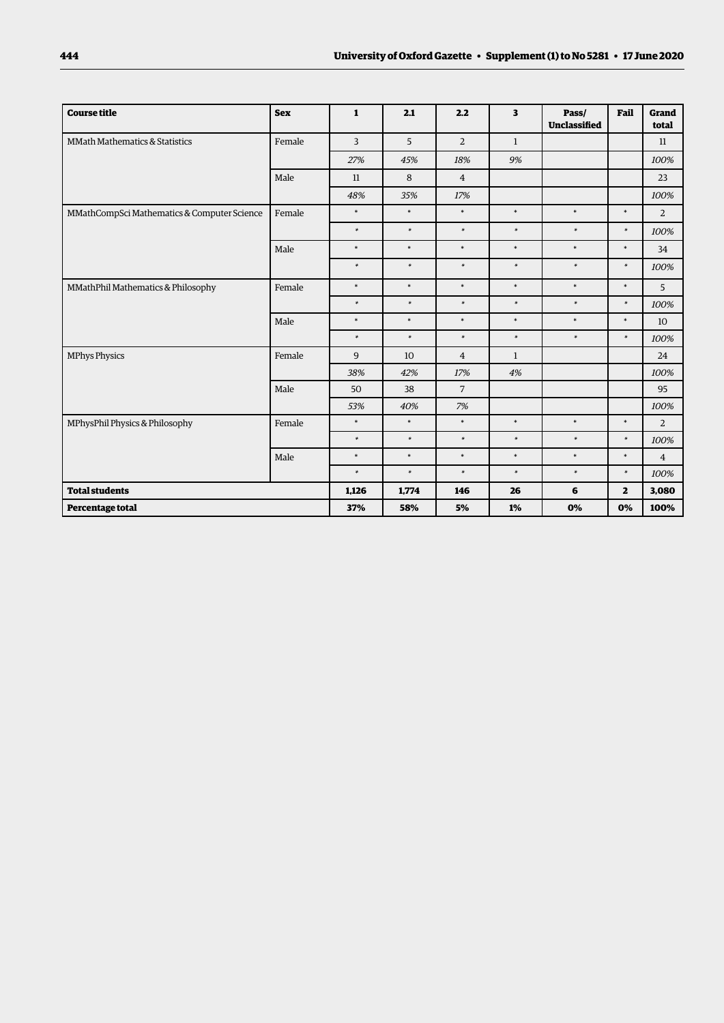| <b>Course title</b>                         | <b>Sex</b> | $\mathbf{1}$   | 2.1    | 2.2            | 3            | Pass/<br>Unclassified | Fail         | Grand<br>total |
|---------------------------------------------|------------|----------------|--------|----------------|--------------|-----------------------|--------------|----------------|
| MMath Mathematics & Statistics              | Female     | $\overline{3}$ | 5      | $\overline{2}$ | $\mathbf{1}$ |                       |              | 11             |
|                                             |            | 27%            | 45%    | 18%            | 9%           |                       |              | 100%           |
|                                             | Male       | 11             | 8      | $\overline{4}$ |              |                       |              | 23             |
|                                             |            | 48%            | 35%    | 17%            |              |                       |              | 100%           |
| MMathCompSci Mathematics & Computer Science | Female     | $\ast$         | $\ast$ | $\ast$         | $\ast$       | $\ast$                | $\ast$       | $\overline{2}$ |
|                                             |            | $\ast$         | $\ast$ | $\ast$         | $\ast$       | $\ast$                | $\ast$       | 100%           |
|                                             | Male       | $\ast$         | $\ast$ | $\ast$         | $\ast$       | $\ast$                | $\ast$       | 34             |
|                                             |            | $\ast$         | $\ast$ | $\ast$         | $\ast$       | $\ast$                | $\ast$       | 100%           |
| MMathPhil Mathematics & Philosophy          | Female     | $\ast$         | $\ast$ | $\ast$         | $\ast$       | $\ast$                | $\ast$       | 5              |
|                                             |            | $\ast$         | $\ast$ | $\ast$         | $\ast$       | $\ast$                | $\ast$       | 100%           |
|                                             | Male       | $\ast$         | $\ast$ | $\ast$         | $\ast$       | $\ast$                | $\ast$       | 10             |
|                                             |            | $\ast$         | $\ast$ | $\ast$         | $\ast$       | $\ast$                | $\ast$       | 100%           |
| <b>MPhys Physics</b>                        | Female     | 9              | 10     | $\overline{4}$ | $\mathbf{1}$ |                       |              | 24             |
|                                             |            | 38%            | 42%    | 17%            | 4%           |                       |              | 100%           |
|                                             | Male       | 50             | 38     | $\overline{7}$ |              |                       |              | 95             |
|                                             |            | 53%            | 40%    | 7%             |              |                       |              | 100%           |
| MPhysPhil Physics & Philosophy              | Female     | $\ast$         | $\ast$ | $\ast$         | $\ast$       | $\ast$                | $\ast$       | 2              |
|                                             |            | $\ast$         | $\ast$ | $\ast$         | $\ast$       | $\ast$                | $\ast$       | 100%           |
|                                             | Male       | $\ast$         | $\ast$ | $\ast$         | $\ast$       | $\ast$                | $\ast$       | $\overline{4}$ |
|                                             |            | $\ast$         | $\ast$ | $\ast$         | $\ast$       | $\ast$                | $\ast$       | 100%           |
| <b>Total students</b>                       |            | 1,126          | 1,774  | 146            | 26           | 6                     | $\mathbf{z}$ | 3,080          |
| Percentage total                            |            | 37%            | 58%    | 5%             | 1%           | 0%                    | 0%           | 100%           |